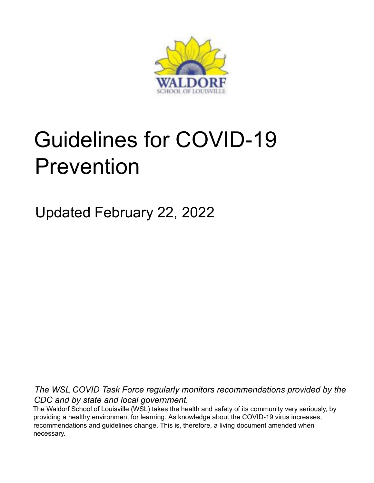

# Guidelines for COVID-19 Prevention

Updated February 22, 2022

*The WSL COVID Task Force regularly monitors recommendations provided by the CDC and by state and local government.*

The Waldorf School of Louisville (WSL) takes the health and safety of its community very seriously, by providing a healthy environment for learning. As knowledge about the COVID-19 virus increases, recommendations and guidelines change. This is, therefore, a living document amended when necessary.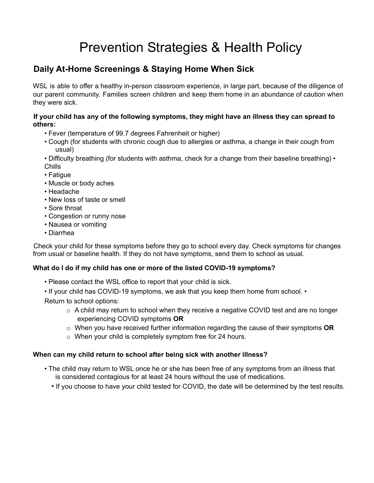# Prevention Strategies & Health Policy

### **Daily At-Home Screenings & Staying Home When Sick**

WSL is able to offer a healthy in-person classroom experience, in large part, because of the diligence of our parent community. Families screen children and keep them home in an abundance of caution when they were sick.

### **If your child has any of the following symptoms, they might have an illness they can spread to others:**

- Fever (temperature of 99.7 degrees Fahrenheit or higher)
- Cough (for students with chronic cough due to allergies or asthma, a change in their cough from usual)

• Difficulty breathing (for students with asthma, check for a change from their baseline breathing) • Chills

- Fatigue
- Muscle or body aches
- Headache
- New loss of taste or smell
- Sore throat
- Congestion or runny nose
- Nausea or vomiting
- Diarrhea

Check your child for these symptoms before they go to school every day. Check symptoms for changes from usual or baseline health. If they do not have symptoms, send them to school as usual.

### **What do I do if my child has one or more of the listed COVID-19 symptoms?**

- Please contact the WSL office to report that your child is sick.
- If your child has COVID-19 symptoms, we ask that you keep them home from school. •

Return to school options:

- $\circ$  A child may return to school when they receive a negative COVID test and are no longer experiencing COVID symptoms **OR**
- o When you have received further information regarding the cause of their symptoms **OR**
- $\circ$  When your child is completely symptom free for 24 hours.

#### **When can my child return to school after being sick with another illness?**

- The child may return to WSL once he or she has been free of any symptoms from an illness that is considered contagious for at least 24 hours without the use of medications.
	- If you choose to have your child tested for COVID, the date will be determined by the test results.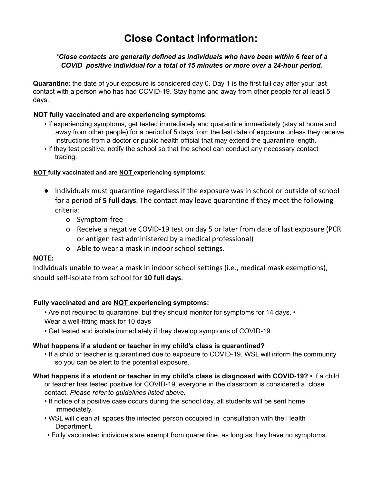### **Close Contact Information:**

### *\*Close contacts are generally defined as individuals who have been within 6 feet of a COVID positive individual for a total of 15 minutes or more over a 24-hour period.*

**Quarantine**: the date of your exposure is considered day 0. Day 1 is the first full day after your last contact with a person who has had COVID-19. Stay home and away from other people for at least 5 days.

### **NOT fully vaccinated and are experiencing symptoms**:

- If experiencing symptoms, get tested immediately and quarantine immediately (stay at home and away from other people) for a period of 5 days from the last date of exposure unless they receive instructions from a doctor or public health official that may extend the quarantine length.
- If they test positive, notify the school so that the school can conduct any necessary contact tracing.

#### **NOT fully vaccinated and are NOT experiencing symptoms**:

- Individuals must quarantine regardless if the exposure was in school or outside of school for a period of **5 full days**. The contact may leave quarantine if they meet the following criteria:
	- o Symptom-free
	- o Receive a negative COVID-19 test on day 5 or later from date of last exposure (PCR or antigen test administered by a medical professional)
	- o Able to wear a mask in indoor school settings.

#### **NOTE:**

Individuals unable to wear a mask in indoor school settings (i.e., medical mask exemptions), should self-isolate from school for **10 full days**.

#### **Fully vaccinated and are NOT experiencing symptoms:**

- Are not required to quarantine, but they should monitor for symptoms for 14 days. •
- Wear a well-fitting mask for 10 days
- Get tested and isolate immediately if they develop symptoms of COVID-19.

#### **What happens if a student or teacher in my child's class is quarantined?**

• If a child or teacher is quarantined due to exposure to COVID-19, WSL will inform the community so you can be alert to the potential exposure.

### **What happens if a student or teacher in my child's class is diagnosed with COVID-19?** • If a child

or teacher has tested positive for COVID-19, everyone in the classroom is considered a close contact. *Please refer to guidelines listed above.*

- If notice of a positive case occurs during the school day, all students will be sent home immediately.
- WSL will clean all spaces the infected person occupied in consultation with the Health Department.
- Fully vaccinated individuals are exempt from quarantine, as long as they have no symptoms.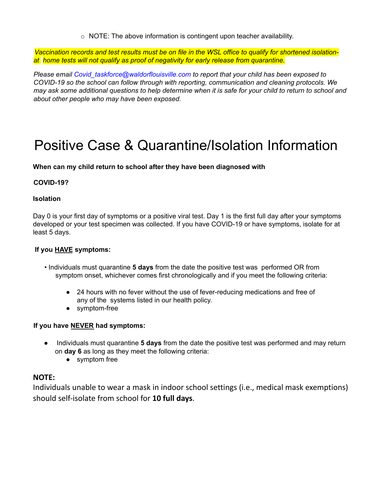$\circ$  NOTE: The above information is contingent upon teacher availability.

Vaccination records and test results must be on file in the WSL office to qualify for shortened isolation*at home tests will not qualify as proof of negativity for early release from quarantine.*

*Please email Covid\_taskforce@waldorflouisville.com to report that your child has been exposed to COVID-19 so the school can follow through with reporting, communication and cleaning protocols. We* may ask some additional questions to help determine when it is safe for your child to return to school and *about other people who may have been exposed.*

# Positive Case & Quarantine/Isolation Information

### **When can my child return to school after they have been diagnosed with**

### **COVID-19?**

#### **Isolation**

Day 0 is your first day of symptoms or a positive viral test. Day 1 is the first full day after your symptoms developed or your test specimen was collected. If you have COVID-19 or have symptoms, isolate for at least 5 days.

### **If you HAVE symptoms:**

- Individuals must quarantine **5 days** from the date the positive test was performed OR from symptom onset, whichever comes first chronologically and if you meet the following criteria:
	- 24 hours with no fever without the use of fever-reducing medications and free of any of the systems listed in our health policy.
	- symptom-free

### **If you have NEVER had symptoms:**

- Individuals must quarantine **5 days** from the date the positive test was performed and may return on **day 6** as long as they meet the following criteria:
	- symptom free

### **NOTE:**

Individuals unable to wear a mask in indoor school settings (i.e., medical mask exemptions) should self-isolate from school for **10 full days**.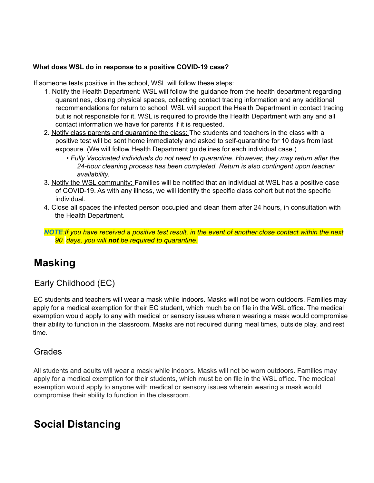### **What does WSL do in response to a positive COVID-19 case?**

If someone tests positive in the school, WSL will follow these steps:

- 1. Notify the Health Department: WSL will follow the guidance from the health department regarding quarantines, closing physical spaces, collecting contact tracing information and any additional recommendations for return to school. WSL will support the Health Department in contact tracing but is not responsible for it. WSL is required to provide the Health Department with any and all contact information we have for parents if it is requested.
- 2. Notify class parents and quarantine the class: The students and teachers in the class with a positive test will be sent home immediately and asked to self-quarantine for 10 days from last exposure. (We will follow Health Department guidelines for each individual case.)
	- *Fully Vaccinated individuals do not need to quarantine. However, they may return after the 24-hour cleaning process has been completed. Return is also contingent upon teacher availability.*
- 3. Notify the WSL community: Families will be notified that an individual at WSL has a positive case of COVID-19. As with any illness, we will identify the specific class cohort but not the specific individual.
- 4. Close all spaces the infected person occupied and clean them after 24 hours, in consultation with the Health Department.
- NOTE: If you have received a positive test result, in the event of another close contact within the next *90 days, you will not be required to quarantine.*

### **Masking**

Early Childhood (EC)

EC students and teachers will wear a mask while indoors. Masks will not be worn outdoors. Families may apply for a medical exemption for their EC student, which much be on file in the WSL office. The medical exemption would apply to any with medical or sensory issues wherein wearing a mask would compromise their ability to function in the classroom. Masks are not required during meal times, outside play, and rest time.

### Grades

All students and adults will wear a mask while indoors. Masks will not be worn outdoors. Families may apply for a medical exemption for their students, which must be on file in the WSL office. The medical exemption would apply to anyone with medical or sensory issues wherein wearing a mask would compromise their ability to function in the classroom.

### **Social Distancing**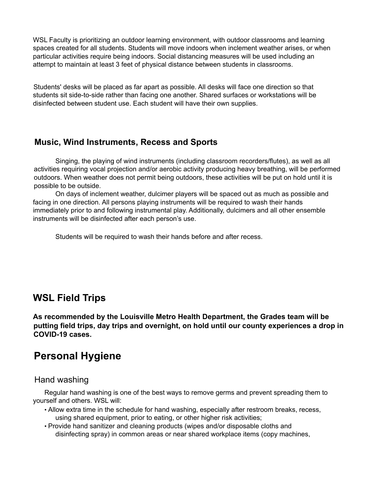WSL Faculty is prioritizing an outdoor learning environment, with outdoor classrooms and learning spaces created for all students. Students will move indoors when inclement weather arises, or when particular activities require being indoors. Social distancing measures will be used including an attempt to maintain at least 3 feet of physical distance between students in classrooms.

Students' desks will be placed as far apart as possible. All desks will face one direction so that students sit side-to-side rather than facing one another. Shared surfaces or workstations will be disinfected between student use. Each student will have their own supplies.

### **Music, Wind Instruments, Recess and Sports**

Singing, the playing of wind instruments (including classroom recorders/flutes), as well as all activities requiring vocal projection and/or aerobic activity producing heavy breathing, will be performed outdoors. When weather does not permit being outdoors, these activities will be put on hold until it is possible to be outside.

On days of inclement weather, dulcimer players will be spaced out as much as possible and facing in one direction. All persons playing instruments will be required to wash their hands immediately prior to and following instrumental play. Additionally, dulcimers and all other ensemble instruments will be disinfected after each person's use.

Students will be required to wash their hands before and after recess.

### **WSL Field Trips**

**As recommended by the Louisville Metro Health Department, the Grades team will be putting field trips, day trips and overnight, on hold until our county experiences a drop in COVID-19 cases.**

### **Personal Hygiene**

### Hand washing

Regular hand washing is one of the best ways to remove germs and prevent spreading them to yourself and others. WSL will:

- Allow extra time in the schedule for hand washing, especially after restroom breaks, recess, using shared equipment, prior to eating, or other higher risk activities;
- Provide hand sanitizer and cleaning products (wipes and/or disposable cloths and disinfecting spray) in common areas or near shared workplace items (copy machines,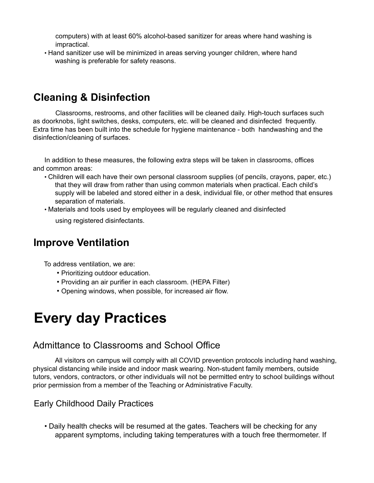computers) with at least 60% alcohol-based sanitizer for areas where hand washing is impractical.

• Hand sanitizer use will be minimized in areas serving younger children, where hand washing is preferable for safety reasons.

### **Cleaning & Disinfection**

Classrooms, restrooms, and other facilities will be cleaned daily. High-touch surfaces such as doorknobs, light switches, desks, computers, etc. will be cleaned and disinfected frequently. Extra time has been built into the schedule for hygiene maintenance - both handwashing and the disinfection/cleaning of surfaces.

In addition to these measures, the following extra steps will be taken in classrooms, offices and common areas:

- Children will each have their own personal classroom supplies (of pencils, crayons, paper, etc.) that they will draw from rather than using common materials when practical. Each child's supply will be labeled and stored either in a desk, individual file, or other method that ensures separation of materials.
- Materials and tools used by employees will be regularly cleaned and disinfected

using registered disinfectants.

### **Improve Ventilation**

To address ventilation, we are:

- Prioritizing outdoor education.
- Providing an air purifier in each classroom. (HEPA Filter)
- Opening windows, when possible, for increased air flow.

# **Every day Practices**

### Admittance to Classrooms and School Office

All visitors on campus will comply with all COVID prevention protocols including hand washing, physical distancing while inside and indoor mask wearing. Non-student family members, outside tutors, vendors, contractors, or other individuals will not be permitted entry to school buildings without prior permission from a member of the Teaching or Administrative Faculty.

### Early Childhood Daily Practices

• Daily health checks will be resumed at the gates. Teachers will be checking for any apparent symptoms, including taking temperatures with a touch free thermometer. If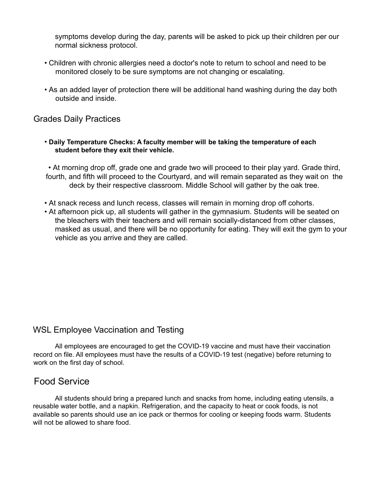symptoms develop during the day, parents will be asked to pick up their children per our normal sickness protocol.

- Children with chronic allergies need a doctor's note to return to school and need to be monitored closely to be sure symptoms are not changing or escalating.
- As an added layer of protection there will be additional hand washing during the day both outside and inside.

### Grades Daily Practices

• **Daily Temperature Checks: A faculty member will be taking the temperature of each student before they exit their vehicle.**

• At morning drop off, grade one and grade two will proceed to their play yard. Grade third, fourth, and fifth will proceed to the Courtyard, and will remain separated as they wait on the deck by their respective classroom. Middle School will gather by the oak tree.

- At snack recess and lunch recess, classes will remain in morning drop off cohorts.
- At afternoon pick up, all students will gather in the gymnasium. Students will be seated on the bleachers with their teachers and will remain socially-distanced from other classes, masked as usual, and there will be no opportunity for eating. They will exit the gym to your vehicle as you arrive and they are called.

### WSL Employee Vaccination and Testing

All employees are encouraged to get the COVID-19 vaccine and must have their vaccination record on file. All employees must have the results of a COVID-19 test (negative) before returning to work on the first day of school.

### Food Service

All students should bring a prepared lunch and snacks from home, including eating utensils, a reusable water bottle, and a napkin. Refrigeration, and the capacity to heat or cook foods, is not available so parents should use an ice pack or thermos for cooling or keeping foods warm. Students will not be allowed to share food.